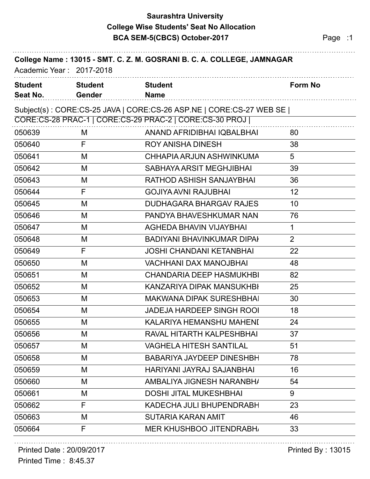## **Saurashtra University BCA SEM-5(CBCS) October-2017** Page :1 **College Wise Students' Seat No Allocation**

| College Name: 13015 - SMT. C. Z. M. GOSRANI B. C. A. COLLEGE, JAMNAGAR<br>Academic Year: 2017-2018 |                          |                                                                     |                |  |  |
|----------------------------------------------------------------------------------------------------|--------------------------|---------------------------------------------------------------------|----------------|--|--|
| <b>Student</b><br>Seat No.                                                                         | <b>Student</b><br>Gender | <b>Student</b><br><b>Name</b>                                       | Form No        |  |  |
|                                                                                                    |                          | Subject(s): CORE:CS-25 JAVA   CORE:CS-26 ASP.NE   CORE:CS-27 WEB SE |                |  |  |
|                                                                                                    |                          | CORE:CS-28 PRAC-1   CORE:CS-29 PRAC-2   CORE:CS-30 PROJ             |                |  |  |
| 050639                                                                                             | M                        | ANAND AFRIDIBHAI IQBALBHAI                                          | 80             |  |  |
| 050640                                                                                             | F                        | <b>ROY ANISHA DINESH</b>                                            | 38             |  |  |
| 050641                                                                                             | M                        | CHHAPIA ARJUN ASHWINKUMA                                            | 5              |  |  |
| 050642                                                                                             | M                        | SABHAYA ARSIT MEGHJIBHAI                                            | 39             |  |  |
| 050643                                                                                             | M                        | RATHOD ASHISH SANJAYBHAI                                            | 36             |  |  |
| 050644                                                                                             | F                        | <b>GOJIYA AVNI RAJUBHAI</b>                                         | 12             |  |  |
| 050645                                                                                             | M                        | <b>DUDHAGARA BHARGAV RAJES</b>                                      | 10             |  |  |
| 050646                                                                                             | M                        | PANDYA BHAVESHKUMAR NAN                                             | 76             |  |  |
| 050647                                                                                             | M                        | <b>AGHEDA BHAVIN VIJAYBHAI</b>                                      | 1              |  |  |
| 050648                                                                                             | M                        | <b>BADIYANI BHAVINKUMAR DIPAH</b>                                   | $\overline{2}$ |  |  |
| 050649                                                                                             | F                        | JOSHI CHANDANI KETANBHAI                                            | 22             |  |  |
| 050650                                                                                             | M                        | <b>VACHHANI DAX MANOJBHAI</b>                                       | 48             |  |  |
| 050651                                                                                             | M                        | <b>CHANDARIA DEEP HASMUKHBI</b>                                     | 82             |  |  |
| 050652                                                                                             | M                        | KANZARIYA DIPAK MANSUKHBI                                           | 25             |  |  |
| 050653                                                                                             | M                        | <b>MAKWANA DIPAK SURESHBHAI</b>                                     | 30             |  |  |
| 050654                                                                                             | M                        | <b>JADEJA HARDEEP SINGH ROOI</b>                                    | 18             |  |  |
| 050655                                                                                             | M                        | KALARIYA HEMANSHU MAHENI                                            | 24             |  |  |
| 050656                                                                                             | M                        | RAVAL HITARTH KALPESHBHAI                                           | 37             |  |  |
| 050657                                                                                             | M                        | <b>VAGHELA HITESH SANTILAL</b>                                      | 51             |  |  |
| 050658                                                                                             | M                        | <b>BABARIYA JAYDEEP DINESHBH</b>                                    | 78             |  |  |
| 050659                                                                                             | M                        | HARIYANI JAYRAJ SAJANBHAI                                           | 16             |  |  |
| 050660                                                                                             | M                        | AMBALIYA JIGNESH NARANBH/                                           | 54             |  |  |
| 050661                                                                                             | M                        | <b>DOSHI JITAL MUKESHBHAI</b>                                       | 9              |  |  |
| 050662                                                                                             | F                        | KADECHA JULI BHUPENDRABH                                            | 23             |  |  |
| 050663                                                                                             | M                        | <b>SUTARIA KARAN AMIT</b>                                           | 46             |  |  |
| 050664                                                                                             | F                        | <b>MER KHUSHBOO JITENDRABH</b>                                      | 33             |  |  |
|                                                                                                    |                          |                                                                     |                |  |  |

Printed Date : 20/09/2017 **Printed By : 13015** 

Printed Time : 8:45.37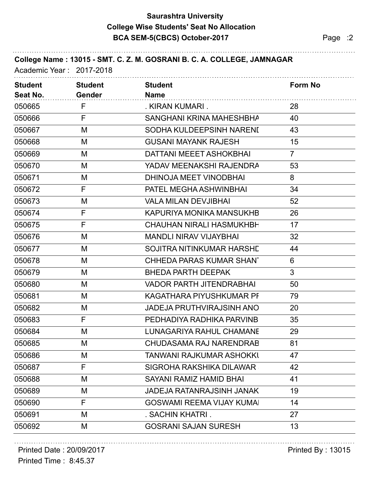## **Saurashtra University BCA SEM-5(CBCS) October-2017** Page :2 **College Wise Students' Seat No Allocation**

| College Name: 13015 - SMT. C. Z. M. GOSRANI B. C. A. COLLEGE, JAMNAGAR<br>Academic Year: 2017-2018 |                                 |                                  |                |  |  |
|----------------------------------------------------------------------------------------------------|---------------------------------|----------------------------------|----------------|--|--|
| <b>Student</b><br>Seat No.                                                                         | <b>Student</b><br><b>Gender</b> | <b>Student</b><br><b>Name</b>    | <b>Form No</b> |  |  |
| 050665                                                                                             | F                               | . KIRAN KUMARI.                  | 28             |  |  |
| 050666                                                                                             | F                               | SANGHANI KRINA MAHESHBHA         | 40             |  |  |
| 050667                                                                                             | M                               | SODHA KULDEEPSINH NARENI         | 43             |  |  |
| 050668                                                                                             | M                               | <b>GUSANI MAYANK RAJESH</b>      | 15             |  |  |
| 050669                                                                                             | M                               | <b>DATTANI MEEET ASHOKBHAI</b>   | $\overline{7}$ |  |  |
| 050670                                                                                             | M                               | YADAV MEENAKSHI RAJENDRA         | 53             |  |  |
| 050671                                                                                             | M                               | DHINOJA MEET VINODBHAI           | 8              |  |  |
| 050672                                                                                             | F                               | PATEL MEGHA ASHWINBHAI           | 34             |  |  |
| 050673                                                                                             | M                               | <b>VALA MILAN DEVJIBHAI</b>      | 52             |  |  |
| 050674                                                                                             | F                               | <b>KAPURIYA MONIKA MANSUKHB</b>  | 26             |  |  |
| 050675                                                                                             | F                               | <b>CHAUHAN NIRALI HASMUKHBH</b>  | 17             |  |  |
| 050676                                                                                             | M                               | <b>MANDLI NIRAV VIJAYBHAI</b>    | 32             |  |  |
| 050677                                                                                             | M                               | SOJITRA NITINKUMAR HARSHE        | 44             |  |  |
| 050678                                                                                             | M                               | CHHEDA PARAS KUMAR SHANT         | 6              |  |  |
| 050679                                                                                             | M                               | <b>BHEDA PARTH DEEPAK</b>        | $\mathfrak{S}$ |  |  |
| 050680                                                                                             | M                               | <b>VADOR PARTH JITENDRABHAI</b>  | 50             |  |  |
| 050681                                                                                             | M                               | KAGATHARA PIYUSHKUMAR PF         | 79             |  |  |
| 050682                                                                                             | M                               | <b>JADEJA PRUTHVIRAJSINH ANO</b> | 20             |  |  |
| 050683                                                                                             | F                               | PEDHADIYA RADHIKA PARVINB        | 35             |  |  |
| 050684                                                                                             | M                               | <b>LUNAGARIYA RAHUL CHAMANE</b>  | 29             |  |  |
| 050685                                                                                             | M                               | CHUDASAMA RAJ NARENDRAB          | 81             |  |  |
| 050686                                                                                             | M                               | TANWANI RAJKUMAR ASHOKKI         | 47             |  |  |
| 050687                                                                                             | F                               | <b>SIGROHA RAKSHIKA DILAWAR</b>  | 42             |  |  |
| 050688                                                                                             | M                               | SAYANI RAMIZ HAMID BHAI          | 41             |  |  |
| 050689                                                                                             | M                               | <b>JADEJA RATANRAJSINH JANAK</b> | 19             |  |  |
| 050690                                                                                             | F                               | <b>GOSWAMI REEMA VIJAY KUMAL</b> | 14             |  |  |
| 050691                                                                                             | M                               | . SACHIN KHATRI .                | 27             |  |  |
| 050692                                                                                             | M                               | <b>GOSRANI SAJAN SURESH</b>      | 13             |  |  |

#### Printed Time : 8:45.37 Printed Date : 20/09/2017 **Printed By : 13015**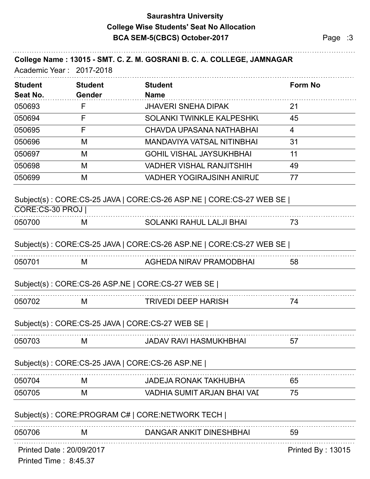# **Saurashtra University BCA SEM-5(CBCS) October-2017** Page :3 **College Wise Students' Seat No Allocation**

|                            | Academic Year: 2017-2018        | College Name: 13015 - SMT. C. Z. M. GOSRANI B. C. A. COLLEGE, JAMNAGAR |                   |
|----------------------------|---------------------------------|------------------------------------------------------------------------|-------------------|
| <b>Student</b><br>Seat No. | <b>Student</b><br><b>Gender</b> | <b>Student</b><br><b>Name</b>                                          | <b>Form No</b>    |
| 050693                     | F                               | <b>JHAVERI SNEHA DIPAK</b>                                             | 21                |
| 050694                     | F                               | SOLANKI TWINKLE KALPESHKL                                              | 45                |
| 050695                     | F                               | CHAVDA UPASANA NATHABHAI                                               | $\overline{4}$    |
| 050696                     | M                               | <b>MANDAVIYA VATSAL NITINBHAI</b>                                      | 31                |
| 050697                     | M                               | <b>GOHIL VISHAL JAYSUKHBHAI</b>                                        | 11                |
| 050698                     | M                               | <b>VADHER VISHAL RANJITSHIH</b>                                        | 49                |
| 050699                     | M                               | <b>VADHER YOGIRAJSINH ANIRUL</b>                                       | 77                |
| CORE:CS-30 PROJ            |                                 | Subject(s): CORE:CS-25 JAVA   CORE:CS-26 ASP.NE   CORE:CS-27 WEB SE    |                   |
| 050700                     | M                               | <b>SOLANKI RAHUL LALJI BHAI</b>                                        | 73                |
|                            |                                 | Subject(s): CORE:CS-25 JAVA   CORE:CS-26 ASP.NE   CORE:CS-27 WEB SE    |                   |
| 050701                     | M                               | AGHEDA NIRAV PRAMODBHAI                                                | 58                |
|                            |                                 | Subject(s): CORE:CS-26 ASP.NE   CORE:CS-27 WEB SE                      |                   |
| 050702                     | M                               | <b>TRIVEDI DEEP HARISH</b>                                             | 74                |
|                            |                                 | Subject(s): CORE:CS-25 JAVA   CORE:CS-27 WEB SE                        |                   |
| 050703                     | M                               | <b>JADAV RAVI HASMUKHBHAI</b>                                          | 57                |
|                            |                                 | Subject(s): CORE:CS-25 JAVA   CORE:CS-26 ASP.NE                        |                   |
| 050704                     | M                               | <b>JADEJA RONAK TAKHUBHA</b>                                           | 65                |
| 050705                     | M                               | VADHIA SUMIT ARJAN BHAI VAI                                            | 75                |
|                            |                                 | Subject(s): CORE:PROGRAM C#   CORE:NETWORK TECH                        |                   |
| 050706                     | M                               | <b>DANGAR ANKIT DINESHBHAI</b>                                         | 59                |
| Printed Time: 8:45.37      | Printed Date: 20/09/2017        |                                                                        | Printed By: 13015 |